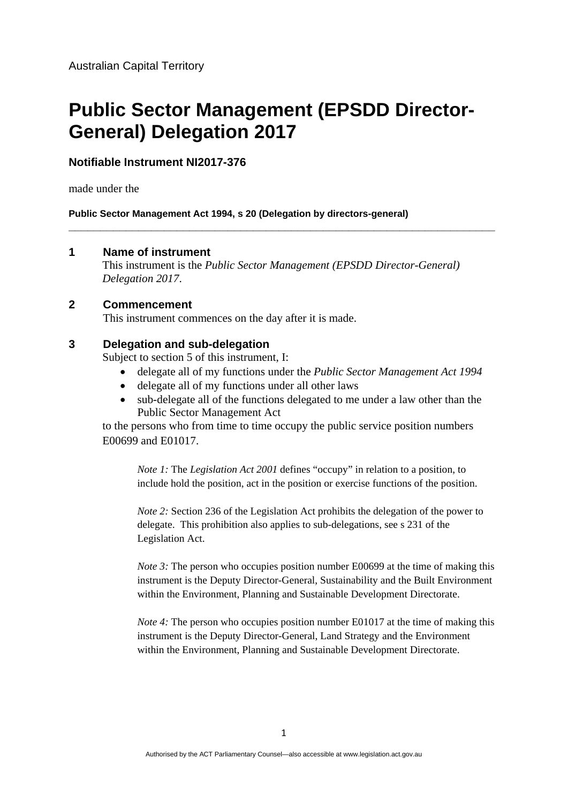# **Public Sector Management (EPSDD Director-General) Delegation 2017**

## **Notifiable Instrument NI2017-376**

made under the

**Public Sector Management Act 1994, s 20 (Delegation by directors-general)** 

#### **1 Name of instrument**

This instrument is the *Public Sector Management (EPSDD Director-General) Delegation 2017*.

**\_\_\_\_\_\_\_\_\_\_\_\_\_\_\_\_\_\_\_\_\_\_\_\_\_\_\_\_\_\_\_\_\_\_\_\_\_\_\_\_\_\_\_\_\_\_\_\_\_\_\_\_\_\_\_\_\_\_\_\_\_\_\_\_\_\_\_** 

### **2 Commencement**

This instrument commences on the day after it is made.

#### **3 Delegation and sub-delegation**

Subject to section 5 of this instrument, I:

- delegate all of my functions under the *Public Sector Management Act 1994*
- delegate all of my functions under all other laws
- sub-delegate all of the functions delegated to me under a law other than the Public Sector Management Act

to the persons who from time to time occupy the public service position numbers E00699 and E01017.

*Note 1:* The *Legislation Act 2001* defines "occupy" in relation to a position, to include hold the position, act in the position or exercise functions of the position.

*Note 2:* Section 236 of the Legislation Act prohibits the delegation of the power to delegate. This prohibition also applies to sub-delegations, see s 231 of the Legislation Act.

*Note 3*: The person who occupies position number E00699 at the time of making this instrument is the Deputy Director-General, Sustainability and the Built Environment within the Environment, Planning and Sustainable Development Directorate.

*Note 4*: The person who occupies position number E01017 at the time of making this instrument is the Deputy Director-General, Land Strategy and the Environment within the Environment, Planning and Sustainable Development Directorate.